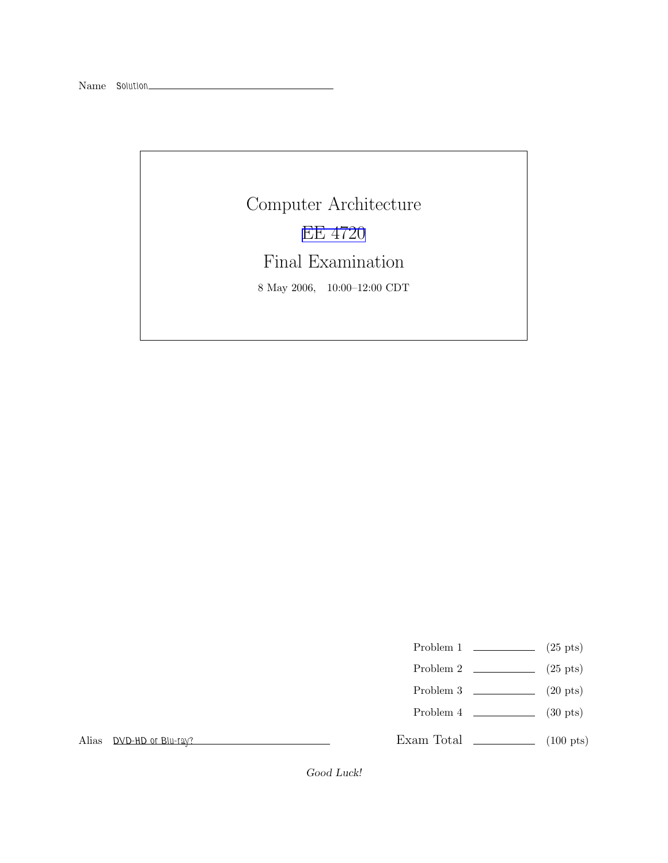Computer Architecture [EE 4720](http://www.ece.lsu.edu/ee4720/) Final Examination 8 May 2006, 10:00–12:00 CDT

Problem 1  $\qquad \qquad$  (25 pts)

- Problem 2  $\qquad \qquad$  (25 pts)
- Problem 3  $\qquad \qquad$  (20 pts)
- Problem 4 (30 pts)

Exam Total \_\_\_\_\_\_\_\_\_\_\_\_\_ (100 pts)

Alias DVD-HD or Blu-ray?

Good Luck!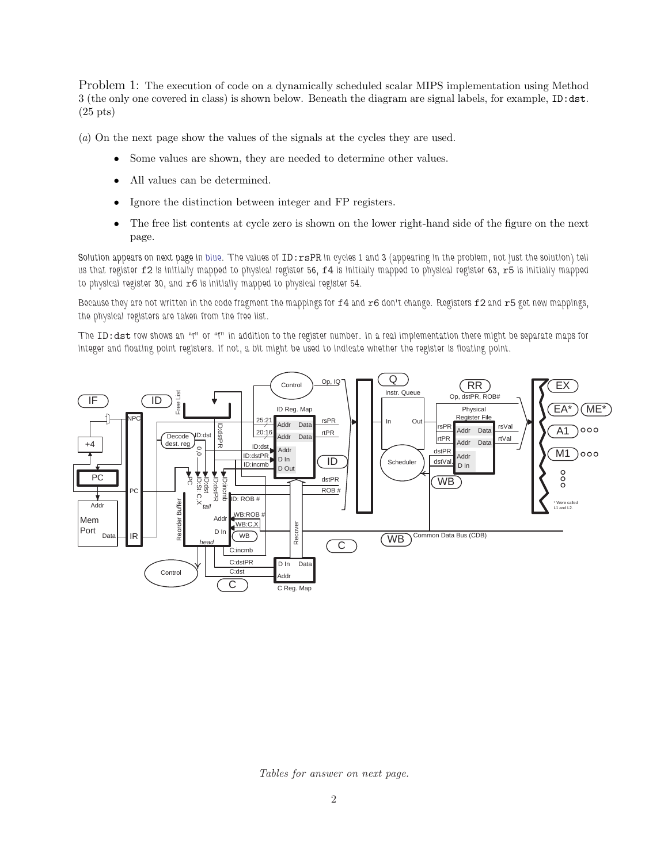Problem 1: The execution of code on a dynamically scheduled scalar MIPS implementation using Method 3 (the only one covered in class) is shown below. Beneath the diagram are signal labels, for example, ID:dst. (25 pts)

(a) On the next page show the values of the signals at the cycles they are used.

- Some values are shown, they are needed to determine other values.
- All values can be determined.
- Ignore the distinction between integer and FP registers.
- The free list contents at cycle zero is shown on the lower right-hand side of the figure on the next page.

Solution appears on next page in blue. The values of ID:rsPR in cycles 1 and 3 (appearing in the problem, not just the solution) tell us that register f2 is initially mapped to physical register 56, f4 is initially mapped to physical register 63, r5 is initially mapped to physical register 30, and  $r6$  is initially mapped to physical register 54.

Because they are not written in the code fragment the mappings for f4 and r6 don't change. Registers f2 and r5 get new mappings, the physical registers are taken from the free list.

The ID:dst row shows an "r" or "f" in addition to the register number. In a real implementation there might be separate maps for integer and floating point registers. If not, a bit might be used to indicate whether the register is floating point.



Tables for answer on next page.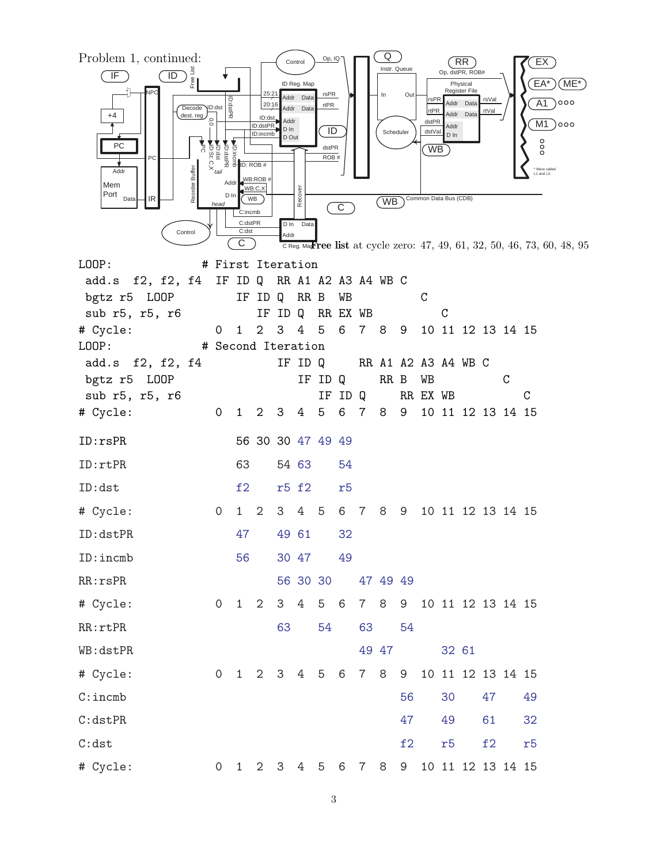

3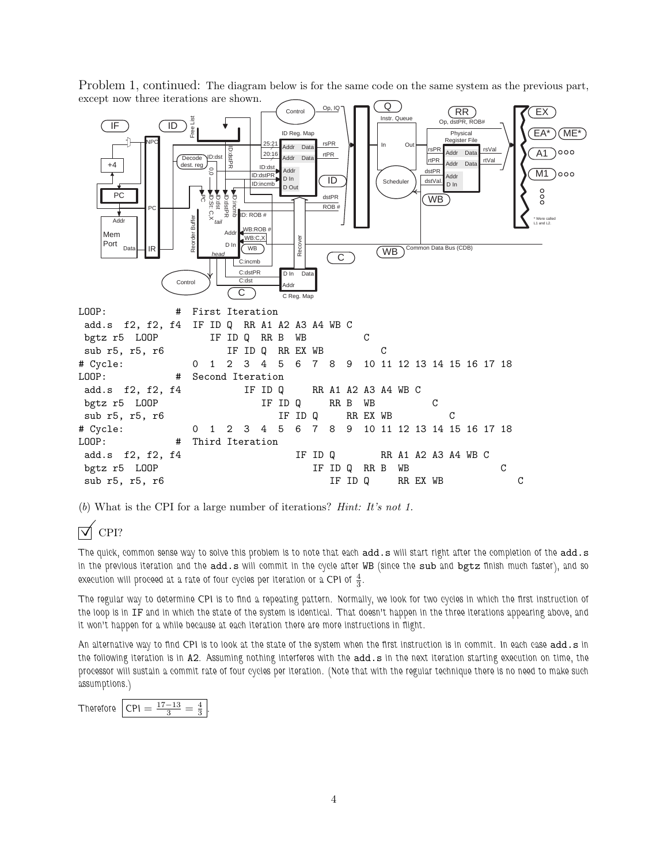

Problem 1, continued: The diagram below is for the same code on the same system as the previous part, except now three iterations are shown.

(b) What is the CPI for a large number of iterations? Hint: It's not 1.

# $\nabla$  CPI?

The quick, common sense way to solve this problem is to note that each add.s will start right after the completion of the add.s in the previous iteration and the add.s will commit in the cycle after WB (since the sub and bgtz finish much faster), and so execution will proceed at a rate of four cycles per iteration or a CPI of  $\frac{4}{3}$ .

The regular way to determine CPI is to find a repeating pattern. Normally, we look for two cycles in which the first instruction of the loop is in IF and in which the state of the system is identical. That doesn't happen in the three iterations appearing above, and it won't happen for a while because at each iteration there are more instructions in flight.

An alternative way to find CPI is to look at the state of the system when the first instruction is in commit. In each case add.s in the following iteration is in A2. Assuming nothing interferes with the add.s in the next iteration starting execution on time, the processor will sustain a commit rate of four cycles per iteration. (Note that with the regular technique there is no need to make such assumptions.)

Therefore  $\rm{CPI} = \frac{17-13}{3} = \frac{4}{3}$ .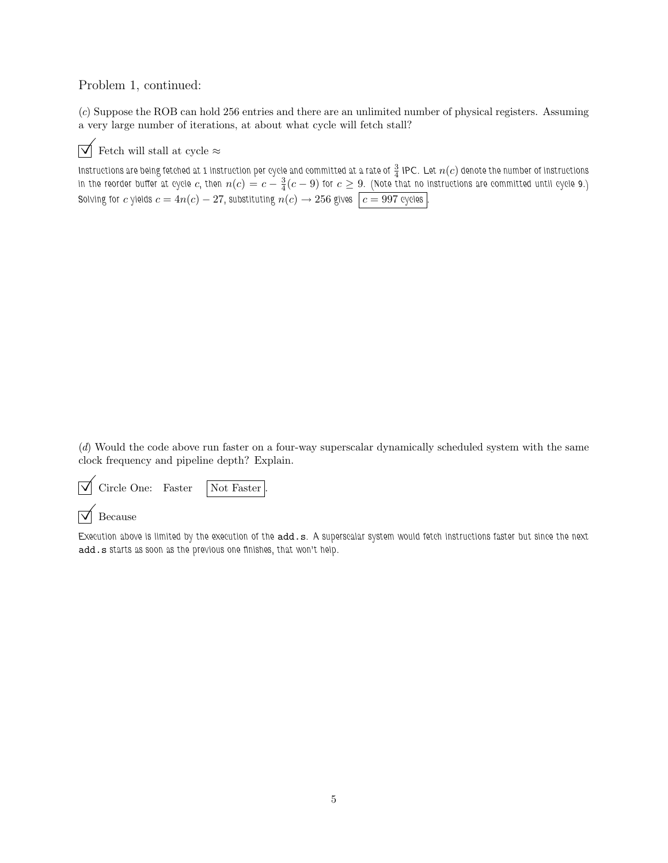### Problem 1, continued:

(c) Suppose the ROB can hold 256 entries and there are an unlimited number of physical registers. Assuming a very large number of iterations, at about what cycle will fetch stall?



 $\overrightarrow{\mathcal{M}}$  Fetch will stall at cycle  $\approx$ 

Instructions are being fetched at 1 instruction per cycle and committed at a rate of  $\frac{3}{4}$  IPC. Let  $n(c)$  denote the number of instructions in the reorder buffer at cycle  $c,$  then  $n(c)=c-\frac{3}{4}(c-9)$  for  $c\geq 9.$  (Note that no instructions are committed until cycle 9.) Solving for  $c$  yields  $c = 4n(c) - 27$ , substituting  $n(c) \rightarrow 256$  gives  $\mid c = 997$  cycles  $\mid$ .

(d) Would the code above run faster on a four-way superscalar dynamically scheduled system with the same clock frequency and pipeline depth? Explain.

 $\sqrt{\phantom{a}}$  Circle One: Faster  $\sqrt{\phantom{a}}$  Not Faster

 $\nabla$  Because

Execution above is limited by the execution of the add.s. A superscalar system would fetch instructions faster but since the next add.s starts as soon as the previous one finishes, that won't help.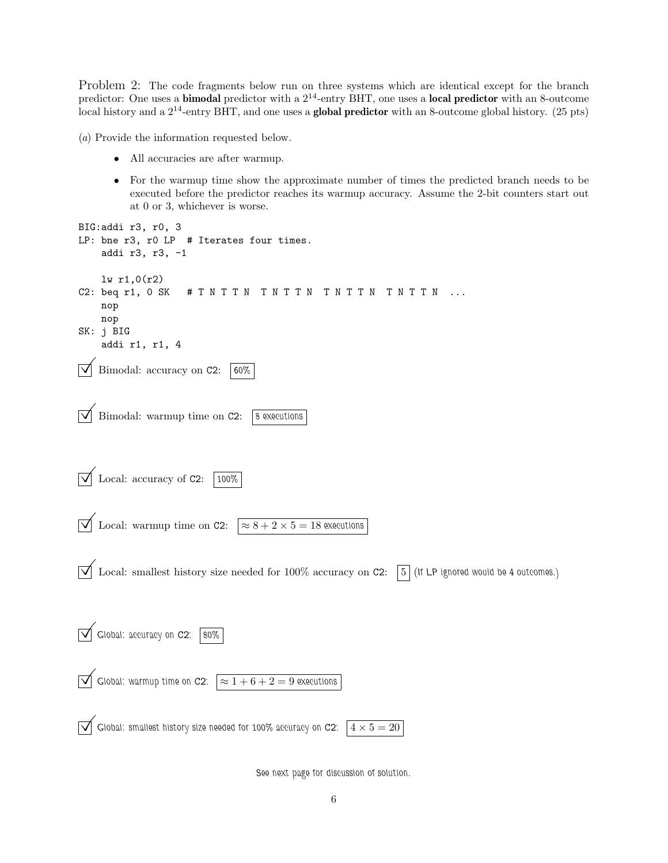Problem 2: The code fragments below run on three systems which are identical except for the branch predictor: One uses a **bimodal** predictor with a  $2^{14}$ -entry BHT, one uses a **local predictor** with an 8-outcome local history and a  $2^{14}$ -entry BHT, and one uses a **global predictor** with an 8-outcome global history. (25 pts)

(a) Provide the information requested below.

- All accuracies are after warmup.
- For the warmup time show the approximate number of times the predicted branch needs to be executed before the predictor reaches its warmup accuracy. Assume the 2-bit counters start out at 0 or 3, whichever is worse.

```
BIG:addi r3, r0, 3
LP: bne r3, r0 LP # Iterates four times.
      addi r3, r3, -1
      lw r1,0(r2)
C2: beq r1, 0 SK # T N T T N T N T T N T T N T N T T N T ...
      nop
      nop
SK: j BIG
      addi r1, r1, 4
     Bimodal: accuracy on C2: 60%
\overrightarrow{\bigvee} Bimodal: warmup time on C2: 8 executions
\sqrt{\phantom{a}} Local: accuracy of C2: \sqrt{\phantom{a}} 100%
\boxed{\bigvee} Local: warmup time on C2: \boxed{\approx 8 + 2 \times 5} = 18 executions
\overline{\sqrt{\ }} Local: smallest history size needed for 100% accuracy on C2: \overline{\phantom{a}} (If LP ignored would be 4 outcomes.)
\sqrt{\frac{1}{100}} Global: accuracy on C2: \sqrt{\frac{80\%}{100}}\boxed{\checkmark} Global: warmup time on C2: \boxed{\approx 1+6+2=9} executions
\overline{\blacktriangledown} Global: smallest history size needed for 100% accuracy on C2: \overline{4 \times 5} = 20
```
See next page for discussion of solution.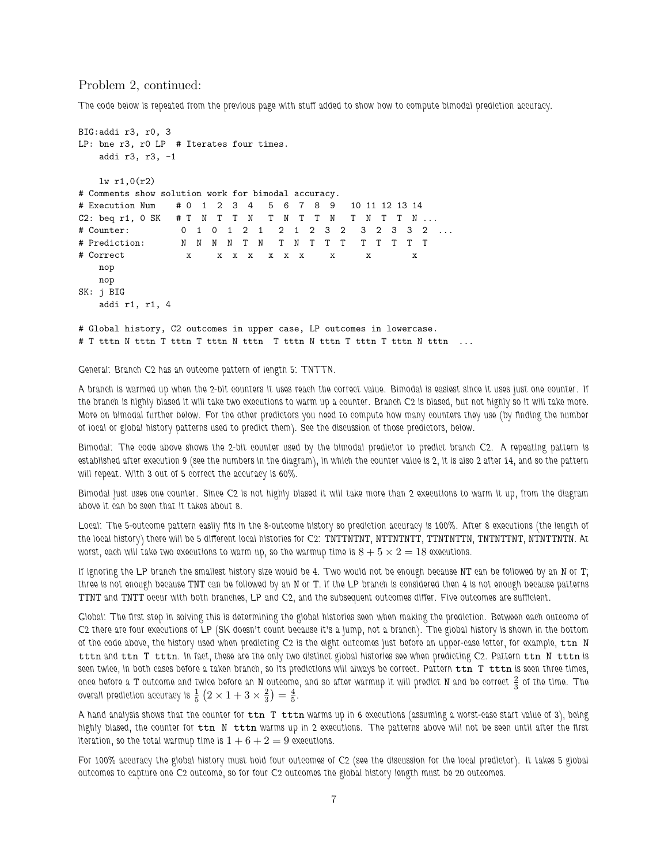#### Problem 2, continued:

The code below is repeated from the previous page with stuff added to show how to compute bimodal prediction accuracy.

```
BIG:addi r3, r0, 3
LP: bne r3, r0 LP # Iterates four times.
   addi r3, r3, -1
   lw r1,0(r2)
# Comments show solution work for bimodal accuracy.
# Execution Num # 0 1 2 3 4 5 6 7 8 9 10 11 12 13 14
C2: beq r1, 0 SK # T N T T N T N T T N T N T T N ...
# Counter: 0 1 0 1 2 1 2 1 2 3 2 3 2 3 2 3 2 ...<br># Prediction: N N N N N T N T N T T T T T T T T
               # Prediction: N N N N T N T N T T T T T T T T
# Correct x x x x x x x x x x
   nop
   nop
SK: j BIG
   addi r1, r1, 4
# Global history, C2 outcomes in upper case, LP outcomes in lowercase.
# T tttn N tttn T tttn T tttn N tttn T tttn N tttn T tttn T tttn N tttn ...
```
General: Branch C2 has an outcome pattern of length 5: TNTTN.

A branch is warmed up when the 2-bit counters it uses reach the correct value. Bimodal is easiest since it uses just one counter. If the branch is highly biased it will take two executions to warm up a counter. Branch C2 is biased, but not highly so it will take more. More on bimodal further below. For the other predictors you need to compute how many counters they use (by finding the number of local or global history patterns used to predict them). See the discussion of those predictors, below.

Bimodal: The code above shows the 2-bit counter used by the bimodal predictor to predict branch C2. A repeating pattern is established after execution 9 (see the numbers in the diagram), in which the counter value is 2, it is also 2 after 14, and so the pattern will repeat. With 3 out of 5 correct the accuracy is 60%.

Bimodal just uses one counter. Since C2 is not highly biased it will take more than 2 executions to warm it up, from the diagram above it can be seen that it takes about 8.

Local: The 5-outcome pattern easily fits in the 8-outcome history so prediction accuracy is 100%. After 8 executions (the length of the local history) there will be 5 different local histories for C2: TNTTNTNT, NTTNTNTT, TTNTNTTN, TNTNTTNT, NTNTTNTN. At worst, each will take two executions to warm up, so the warmup time is  $8 + 5 \times 2 = 18$  executions.

If ignoring the LP branch the smallest history size would be 4. Two would not be enough because NT can be followed by an N or T; three is not enough because TNT can be followed by an N or T. If the LP branch is considered then 4 is not enough because patterns TTNT and TNTT occur with both branches, LP and C2, and the subsequent outcomes differ. Five outcomes are sufficient.

Global: The first step in solving this is determining the global histories seen when making the prediction. Between each outcome of C2 there are four executions of LP (SK doesn't count because it's a jump, not a branch). The global history is shown in the bottom of the code above, the history used when predicting C2 is the eight outcomes just before an upper-case letter, for example,  $\tan N$ tttn and ttn T tttn. In fact, these are the only two distinct global histories see when predicting C2. Pattern ttn N tttn is seen twice, in both cases before a taken branch, so its predictions will always be correct. Pattern  $ttn$   $T$   $ttn$  is seen three times, once before a T outcome and twice before an N outcome, and so after warmup it will predict N and be correct  $\frac{2}{3}$  of the time. The overall prediction accuracy is  $\frac{1}{5}$   $\left(2 \times 1 + 3 \times \frac{2}{3}\right) = \frac{4}{5}$ .

A hand analysis shows that the counter for  $\tan T$  ttn warms up in 6 executions (assuming a worst-case start value of 3), being highly biased, the counter for ttn N tttn warms up in 2 executions. The patterns above will not be seen until after the first iteration, so the total warmup time is  $1+6+2=9$  executions.

For 100% accuracy the global history must hold four outcomes of C2 (see the discussion for the local predictor). It takes 5 global outcomes to capture one C2 outcome, so for four C2 outcomes the global history length must be 20 outcomes.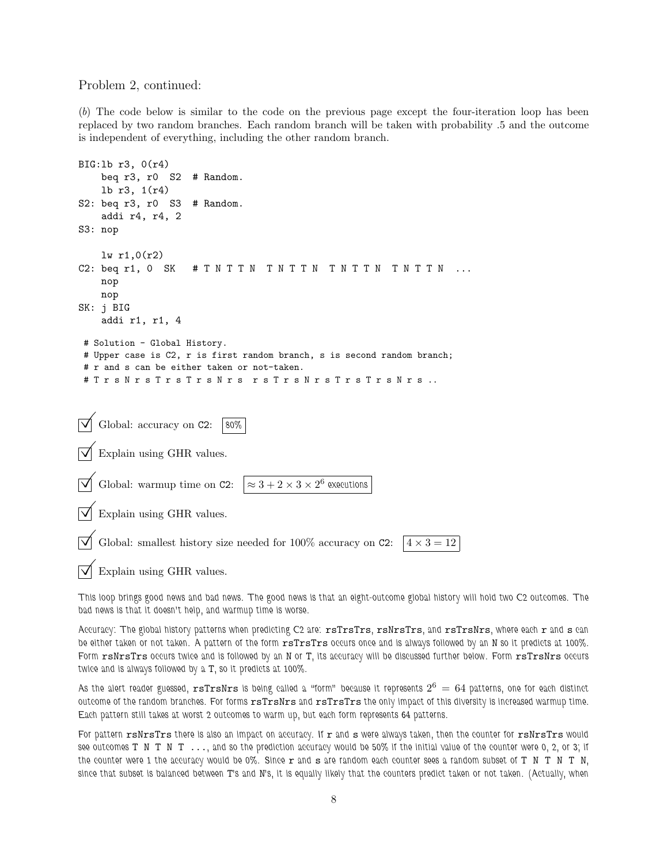#### Problem 2, continued:

(b) The code below is similar to the code on the previous page except the four-iteration loop has been replaced by two random branches. Each random branch will be taken with probability .5 and the outcome is independent of everything, including the other random branch.

```
BIG:lb r3, 0(r4)
    beq r3, r0 S2 # Random.
    lb r3, 1(r4)
S2: beq r3, r0 S3 # Random.
    addi r4, r4, 2
S3: nop
    lw r1,0(r2)
C2: beq r1, 0 SK # T N T T N T N T T N T N T T N T N T T N ...
    nop
    nop
SK: j BIG
    addi r1, r1, 4
# Solution - Global History.
# Upper case is C2, r is first random branch, s is second random branch;
# r and s can be either taken or not-taken.
# T r s N r s T r s T r s N r s r s T r s N r s T r s T r s N r s ..
   Global: accuracy on C2: \|\ 80\%Explain using GHR values.
   Global: warmup time on C2:
                                              ^6 executions
   Explain using GHR values.
   Global: smallest history size needed for 100% accuracy on C2: 4 \times 3 = 12
```
Explain using GHR values.

This loop brings good news and bad news. The good news is that an eight-outcome global history will hold two C2 outcomes. The bad news is that it doesn't help, and warmup time is worse.

Accuracy: The global history patterns when predicting C2 are: rsTrsTrs, rsNrsTrs, and rsTrsNrs, where each r and s can be either taken or not taken. A pattern of the form  $rsTrsTrs$  occurs once and is always followed by an N so it predicts at 100%. Form rsNrsTrs occurs twice and is followed by an N or T, its accuracy will be discussed further below. Form rsTrsNrs occurs twice and is always followed by a T, so it predicts at 100%.

As the alert reader guessed,  ${\tt rsTrsNrs}$  is being called a "form" because it represents  $2^6\,=\,64$  patterns, one for each distinct outcome of the random branches. For forms rsTrsNrs and rsTrsTrs the only impact of this diversity is increased warmup time. Each pattern still takes at worst 2 outcomes to warm up, but each form represents 64 patterns.

For pattern rsNrsTrs there is also an impact on accuracy. If r and s were always taken, then the counter for rsNrsTrs would see outcomes T N T N T ..., and so the prediction accuracy would be 50% if the initial value of the counter were 0, 2, or 3; if the counter were 1 the accuracy would be 0%. Since  $r$  and  $s$  are random each counter sees a random subset of  $T$  N  $T$  N  $T$  N, since that subset is balanced between T's and N's, it is equally likely that the counters predict taken or not taken. (Actually, when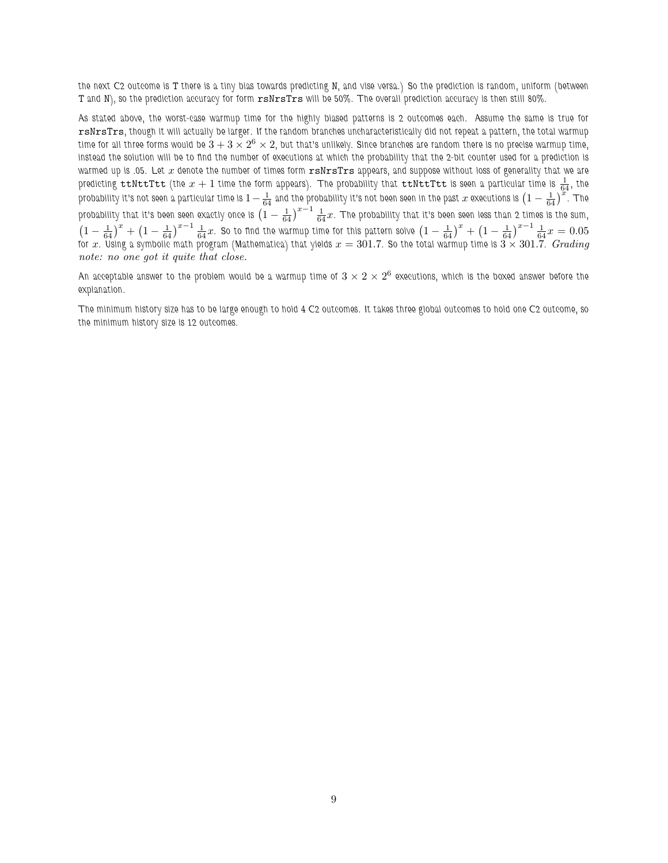the next C2 outcome is T there is a tiny bias towards predicting N, and vise versa.) So the prediction is random, uniform (between T and N), so the prediction accuracy for form rsNrsTrs will be 50%. The overall prediction accuracy is then still 80%.

As stated above, the worst-case warmup time for the highly biased patterns is 2 outcomes each. Assume the same is true for rsNrsTrs, though it will actually be larger. If the random branches uncharacteristically did not repeat a pattern, the total warmup time for all three forms would be  $\check3+3\times 2^6\times 2$ , but that's unlikely. Since branches are random there is no precise warmup time, instead the solution will be to find the number of executions at which the probability that the 2-bit counter used for a prediction is warmed up is .05. Let  $x$  denote the number of times form  ${\tt rsNrs}$  appears, and suppose without loss of generality that we are predicting  $t$ t $N$ tt $T$ tt (the  $x+1$  time the form appears). The probability that  $t$ t $N$ t $t$ t $t$ t is seen a particular time is  $\frac{1}{64}$ , the probability it's not seen a particular time is  $1-\frac{1}{64}$  and the probability it's not been seen in the past  $x$  executions is  $\left(1-\frac{1}{64}\right)^{24}$ . The probability that it's been seen exactly once is  $\left(1-\frac{1}{64}\right)^{x-1}\frac{1}{64}x$ . The probability that it's been seen less than 2 times is the sum,  $\left(1-\frac{1}{64}\right)^x+\left(1-\frac{1}{64}\right)^{x-1}\frac{1}{64}x$ . So to find the warmup time for this pattern solve  $\left(1-\frac{1}{64}\right)^x+\left(1-\frac{1}{64}\right)^{x-1}\frac{1}{64}x=0.05$ for  $x.$  Using a symbolic math program (Mathematica) that yields  $x=301.7.$  So the total warmup time is  $3\times 301.7.$   $Grading$ note: no one got it quite that close.

An acceptable answer to the problem would be a warmup time of  $3\times 2\times 2^6$  executions, which is the boxed answer before the explanation.

The minimum history size has to be large enough to hold 4 C2 outcomes. It takes three global outcomes to hold one C2 outcome, so the minimum history size is 12 outcomes.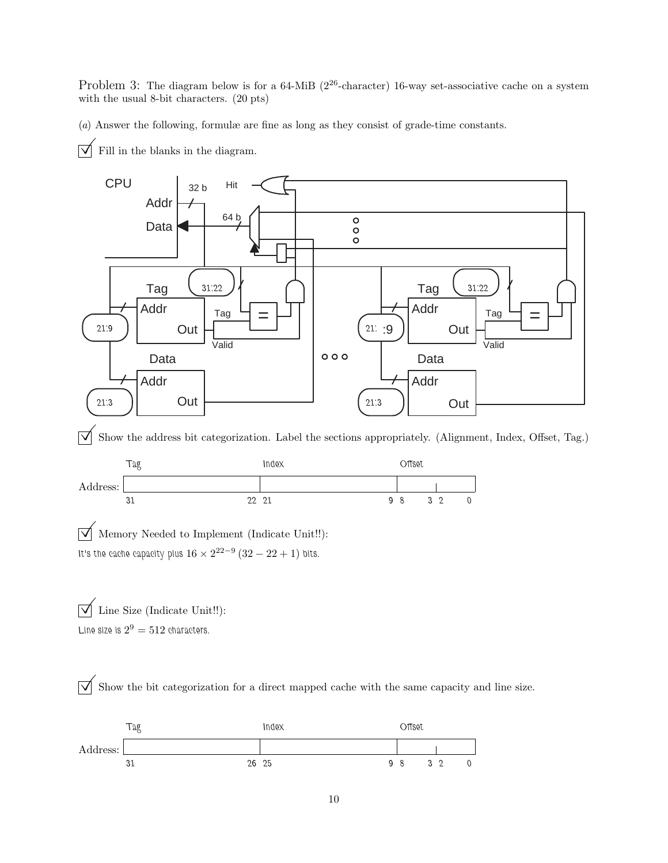Problem 3: The diagram below is for a 64-MiB (2<sup>26</sup>-character) 16-way set-associative cache on a system with the usual 8-bit characters. (20 pts)

(a) Answer the following, formulæ are fine as long as they consist of grade-time constants.

 $\overrightarrow{\bigvee}$  Fill in the blanks in the diagram.



 $\triangledown$  Show the address bit categorization. Label the sections appropriately. (Alignment, Index, Offset, Tag.)



 $\overline{\sqrt{\ }}$  Memory Needed to Implement (Indicate Unit!!): It's the cache capacity plus  $16 \times 2^{22-9} (32-22+1)$  bits.

 $\overline{\mathcal{A}}$  Line Size (Indicate Unit!!): Line size is  $2^9 = 512$  characters.

 $\overline{\sqrt{\ }}$  Show the bit categorization for a direct mapped cache with the same capacity and line size.

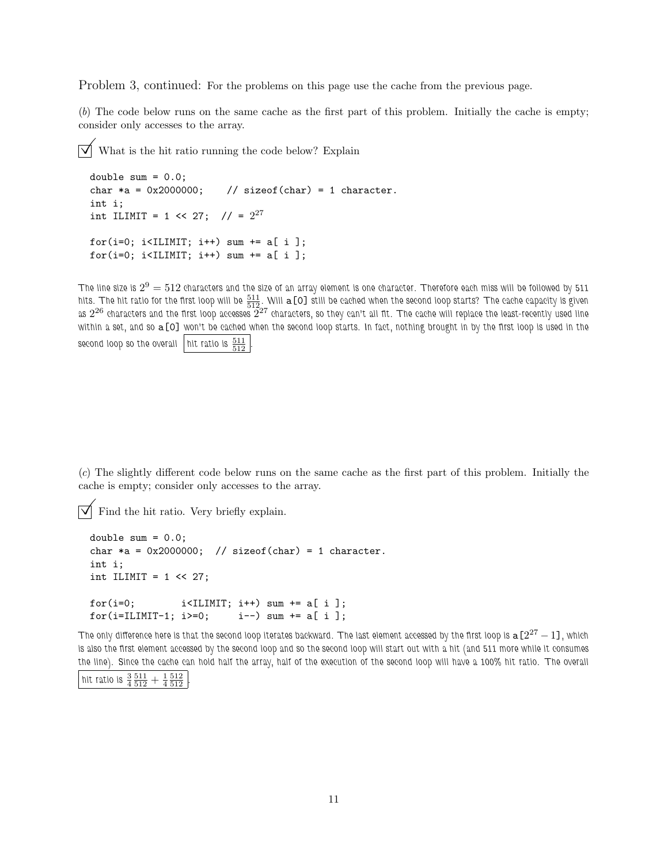Problem 3, continued: For the problems on this page use the cache from the previous page.

(b) The code below runs on the same cache as the first part of this problem. Initially the cache is empty; consider only accesses to the array.

 $\overline{\vee}$  What is the hit ratio running the code below? Explain

```
double sum = 0.0;
char *a = 0x2000000; // sizeof(char) = 1 character.
int i;
int ILIMIT = 1 << 27; // = 2^{27}for(i=0; i<ILIMIT; i++) sum += a[ i ];
for(i=0; i<ILIMIT; i++) sum += a[i];
```
The line size is  $2^9=512$  characters and the size of an array element is one character. Therefore each miss will be followed by 511 hits. The hit ratio for the first loop will be  $\frac{511}{512}.$  Will  $\mathtt{a[O]}$  still be cached when the second loop starts? The cache capacity is given as  $2^{26}$  characters and the first loop accesses  $2^{27}$  characters, so they can't all fit. The cache will replace the least-recently used line within a set, and so a[0] won't be cached when the second loop starts. In fact, nothing brought in by the first loop is used in the second loop so the overall  $\left| \right.$  hit ratio is  $\frac{511}{512}$   $\left| \right|$ .

(c) The slightly different code below runs on the same cache as the first part of this problem. Initially the cache is empty; consider only accesses to the array.

 $\overline{\vee}$  Find the hit ratio. Very briefly explain.

```
double sum = 0.0;
char *a = 0x2000000; // sizeof(char) = 1 character.
int i;
int ILIMIT = 1 \leq 27;
for(i=0; i<IIIMIT; i++) sum += a[i];for(i=ILIMIT-1; i>=0; i--) sum += a[i];
```
The only difference here is that the second loop iterates backward. The last element accessed by the first loop is  $\mathtt{a}[2^{27}-1]$  , which is also the first element accessed by the second loop and so the second loop will start out with a hit (and 511 more while it consumes the line). Since the cache can hold half the array, half of the execution of the second loop will have a 100% hit ratio. The overall

| 3 511 1 512<br>hit ratio is<br>$\overline{4}5\overline{12}$ +<br>$4\,512$ |
|---------------------------------------------------------------------------|
|---------------------------------------------------------------------------|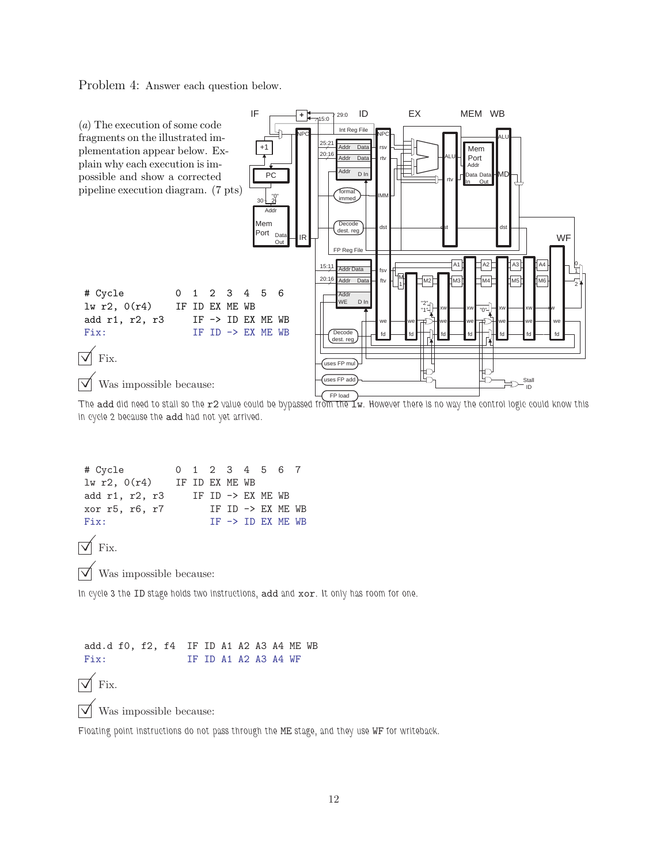Problem 4: Answer each question below.



The add did need to stall so the  $r2$  value could be bypassed from the  $Iw$ . However there is no way the control logic could know this in cycle 2 because the add had not yet arrived.

| # Cycle                                      |  |                              |  | 0 1 2 3 4 5 6 7              |  |
|----------------------------------------------|--|------------------------------|--|------------------------------|--|
| lw r2, 0(r4)<br>IF ID EX ME WB               |  |                              |  |                              |  |
| add r1, r2, r3                               |  | IF ID $\rightarrow$ EX ME WB |  |                              |  |
| xor r5, r6, r7                               |  |                              |  | IF ID $\rightarrow$ EX ME WB |  |
| Fix:                                         |  |                              |  | $IF \rightarrow ID EX ME WB$ |  |
| $\sqrt{\ }$ Fix.                             |  |                              |  |                              |  |
| $\sqrt{\phantom{a}}$ Was impossible because: |  |                              |  |                              |  |

In cycle 3 the ID stage holds two instructions, add and xor. It only has room for one.

add.d f0, f2, f4 IF ID A1 A2 A3 A4 ME WB Fix: IF ID A1 A2 A3 A4 WF  $\nabla$  Fix.

 $\triangledown$  Was impossible because:

Floating point instructions do not pass through the ME stage, and they use WF for writeback.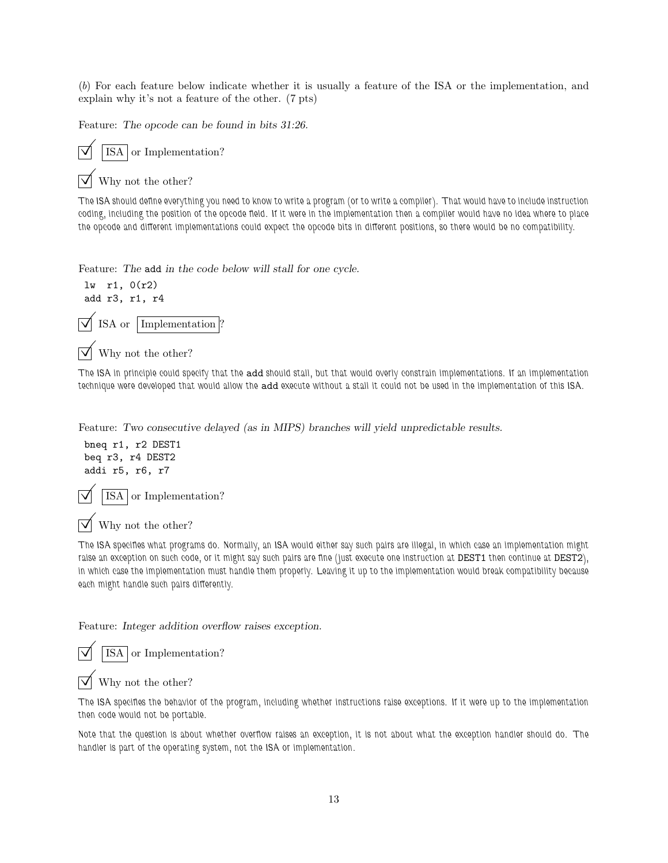(b) For each feature below indicate whether it is usually a feature of the ISA or the implementation, and explain why it's not a feature of the other. (7 pts)

Feature: The opcode can be found in bits 31:26.



Why not the other?

The ISA should define everything you need to know to write a program (or to write a compiler). That would have to include instruction coding, including the position of the opcode field. If it were in the implementation then a compiler would have no idea where to place the opcode and different implementations could expect the opcode bits in different positions, so there would be no compatibility.

Feature: The add in the code below will stall for one cycle.



Why not the other?

The ISA in principle could specify that the add should stall, but that would overly constrain implementations. If an implementation technique were developed that would allow the add execute without a stall it could not be used in the implementation of this ISA.

Feature: Two consecutive delayed (as in MIPS) branches will yield unpredictable results.

bneq r1, r2 DEST1 beq r3, r4 DEST2 addi r5, r6, r7

ISA or Implementation?

Why not the other?

The ISA specifies what programs do. Normally, an ISA would either say such pairs are illegal, in which case an implementation might raise an exception on such code, or it might say such pairs are fine (just execute one instruction at DEST1 then continue at DEST2), in which case the implementation must handle them properly. Leaving it up to the implementation would break compatibility because each might handle such pairs differently.

Feature: Integer addition overflow raises exception.

ISA or Implementation?

Why not the other?

The ISA specifies the behavior of the program, including whether instructions raise exceptions. If it were up to the implementation then code would not be portable.

Note that the question is about whether overflow raises an exception, it is not about what the exception handler should do. The handler is part of the operating system, not the ISA or implementation.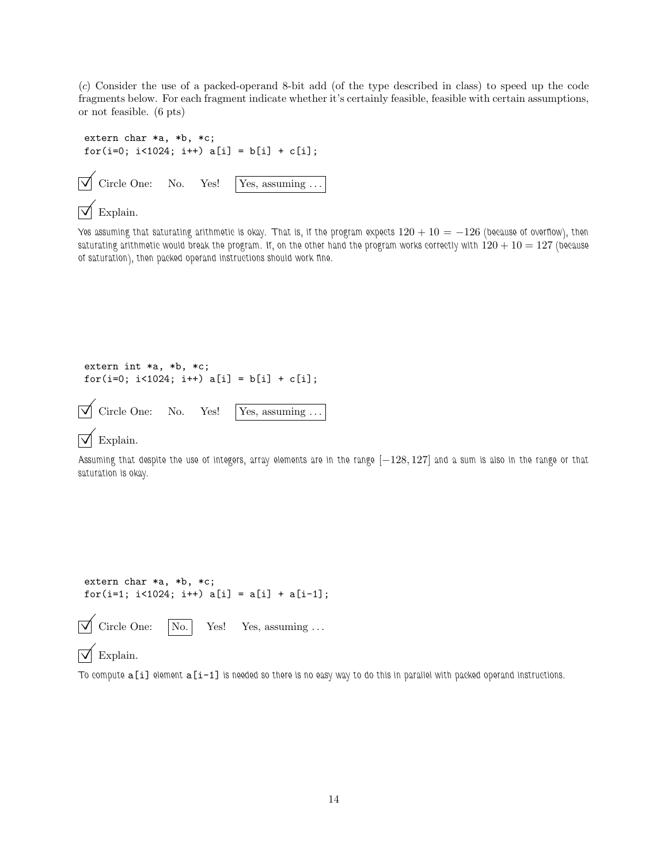(c) Consider the use of a packed-operand 8-bit add (of the type described in class) to speed up the code fragments below. For each fragment indicate whether it's certainly feasible, feasible with certain assumptions, or not feasible. (6 pts)

```
extern char *a, *b, *c;
for(i=0; i<1024; i++) a[i] = b[i] + c[i];\triangledown Circle One: No. Yes! | Yes, assuming ...
```
## Explain.

Yes assuming that saturating arithmetic is okay. That is, if the program expects  $120 + 10 = -126$  (because of overflow), then saturating arithmetic would break the program. If, on the other hand the program works correctly with  $120 + 10 = 127$  (because of saturation), then packed operand instructions should work fine.

```
extern int *a, *b, *c;
for(i=0; i<1024; i++) a[i] = b[i] + c[i];\overrightarrow{\mathsf{V}} Circle One: No. Yes! Yes, assuming ...
```
#### Explain.

Assuming that despite the use of integers, array elements are in the range [−128, 127] and a sum is also in the range or that saturation is okay.

```
extern char *a, *b, *c;
for(i=1; i<1024; i++) a[i] = a[i] + a[i-1];
```

```
Circle One: \boxed{\phantom{1} No.} Yes! Yes, assuming ...
```
## $\nabla$  Explain.

To compute  $a[i]$  element  $a[i-1]$  is needed so there is no easy way to do this in parallel with packed operand instructions.